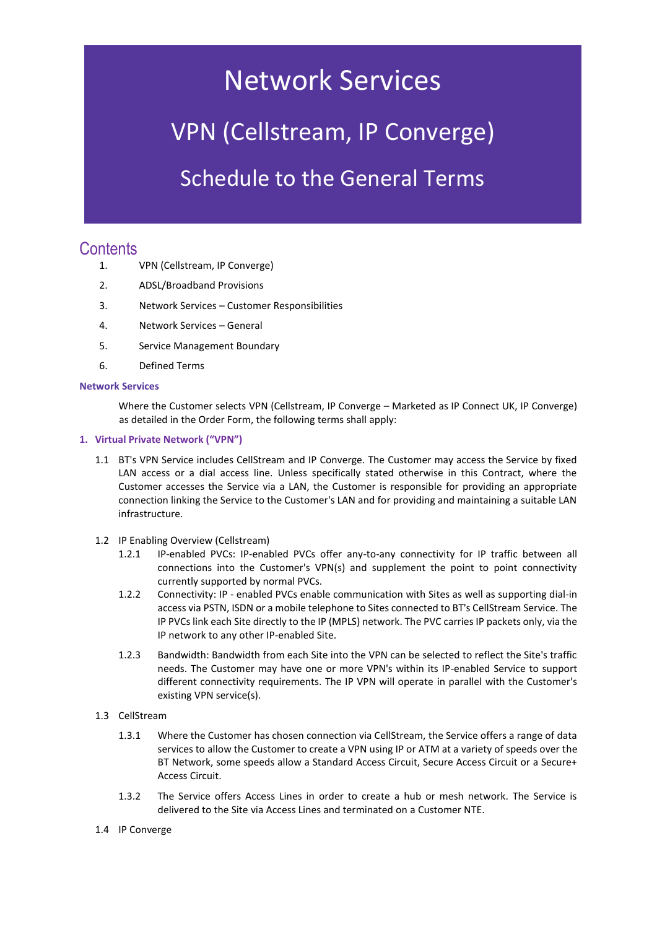# Network Services

## VPN (Cellstream, IP Converge)

### Schedule to the General Terms

### **Contents**

- 1. VPN (Cellstream, IP Converge)
- 2. ADSL/Broadband Provisions
- 3. Network Services Customer Responsibilities
- 4. Network Services General
- 5. Service Management Boundary
- 6. Defined Terms

#### **Network Services**

Where the Customer selects VPN (Cellstream, IP Converge – Marketed as IP Connect UK, IP Converge) as detailed in the Order Form, the following terms shall apply:

#### **1. Virtual Private Network ("VPN")**

- 1.1 BT's VPN Service includes CellStream and IP Converge. The Customer may access the Service by fixed LAN access or a dial access line. Unless specifically stated otherwise in this Contract, where the Customer accesses the Service via a LAN, the Customer is responsible for providing an appropriate connection linking the Service to the Customer's LAN and for providing and maintaining a suitable LAN infrastructure.
- 1.2 IP Enabling Overview (Cellstream)
	- 1.2.1 IP-enabled PVCs: IP-enabled PVCs offer any-to-any connectivity for IP traffic between all connections into the Customer's VPN(s) and supplement the point to point connectivity currently supported by normal PVCs.
	- 1.2.2 Connectivity: IP enabled PVCs enable communication with Sites as well as supporting dial-in access via PSTN, ISDN or a mobile telephone to Sites connected to BT's CellStream Service. The IP PVCs link each Site directly to the IP (MPLS) network. The PVC carries IP packets only, via the IP network to any other IP-enabled Site.
	- 1.2.3 Bandwidth: Bandwidth from each Site into the VPN can be selected to reflect the Site's traffic needs. The Customer may have one or more VPN's within its IP-enabled Service to support different connectivity requirements. The IP VPN will operate in parallel with the Customer's existing VPN service(s).
- 1.3 CellStream
	- 1.3.1 Where the Customer has chosen connection via CellStream, the Service offers a range of data services to allow the Customer to create a VPN using IP or ATM at a variety of speeds over the BT Network, some speeds allow a Standard Access Circuit, Secure Access Circuit or a Secure+ Access Circuit.
	- 1.3.2 The Service offers Access Lines in order to create a hub or mesh network. The Service is delivered to the Site via Access Lines and terminated on a Customer NTE.
- 1.4 IP Converge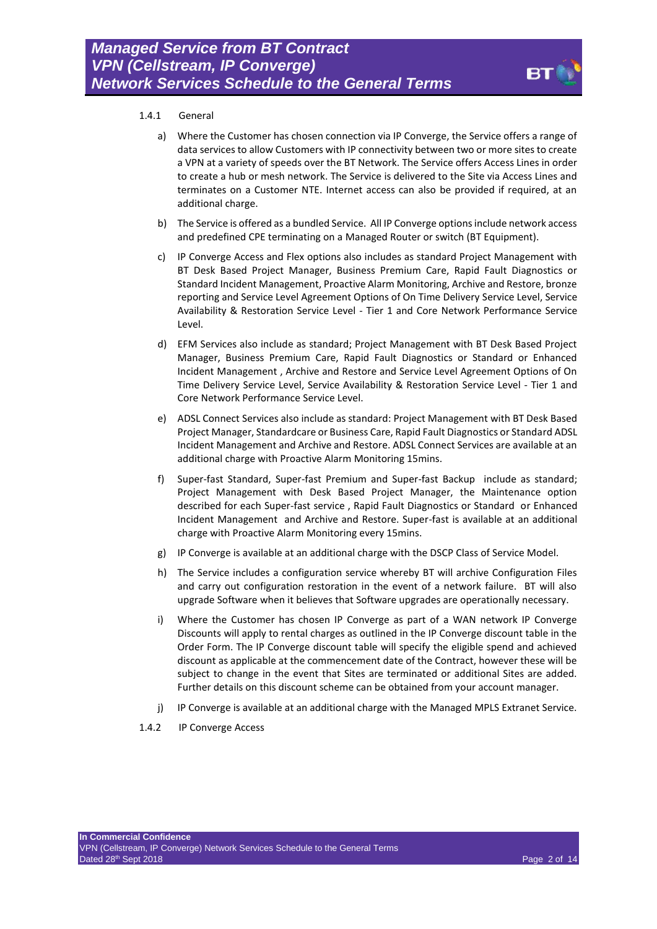

#### 1.4.1 General

- a) Where the Customer has chosen connection via IP Converge, the Service offers a range of data services to allow Customers with IP connectivity between two or more sites to create a VPN at a variety of speeds over the BT Network. The Service offers Access Lines in order to create a hub or mesh network. The Service is delivered to the Site via Access Lines and terminates on a Customer NTE. Internet access can also be provided if required, at an additional charge.
- b) The Service is offered as a bundled Service. All IP Converge options include network access and predefined CPE terminating on a Managed Router or switch (BT Equipment).
- c) IP Converge Access and Flex options also includes as standard Project Management with BT Desk Based Project Manager, Business Premium Care, Rapid Fault Diagnostics or Standard Incident Management, Proactive Alarm Monitoring, Archive and Restore, bronze reporting and Service Level Agreement Options of On Time Delivery Service Level, Service Availability & Restoration Service Level - Tier 1 and Core Network Performance Service Level.
- d) EFM Services also include as standard; Project Management with BT Desk Based Project Manager, Business Premium Care, Rapid Fault Diagnostics or Standard or Enhanced Incident Management , Archive and Restore and Service Level Agreement Options of On Time Delivery Service Level, Service Availability & Restoration Service Level - Tier 1 and Core Network Performance Service Level.
- e) ADSL Connect Services also include as standard: Project Management with BT Desk Based Project Manager, Standardcare or Business Care, Rapid Fault Diagnostics or Standard ADSL Incident Management and Archive and Restore. ADSL Connect Services are available at an additional charge with Proactive Alarm Monitoring 15mins.
- f) Super-fast Standard, Super-fast Premium and Super-fast Backup include as standard; Project Management with Desk Based Project Manager, the Maintenance option described for each Super-fast service , Rapid Fault Diagnostics or Standard or Enhanced Incident Management and Archive and Restore. Super-fast is available at an additional charge with Proactive Alarm Monitoring every 15mins.
- g) IP Converge is available at an additional charge with the DSCP Class of Service Model.
- h) The Service includes a configuration service whereby BT will archive Configuration Files and carry out configuration restoration in the event of a network failure. BT will also upgrade Software when it believes that Software upgrades are operationally necessary.
- i) Where the Customer has chosen IP Converge as part of a WAN network IP Converge Discounts will apply to rental charges as outlined in the IP Converge discount table in the Order Form. The IP Converge discount table will specify the eligible spend and achieved discount as applicable at the commencement date of the Contract, however these will be subject to change in the event that Sites are terminated or additional Sites are added. Further details on this discount scheme can be obtained from your account manager.
- j) IP Converge is available at an additional charge with the Managed MPLS Extranet Service.
- 1.4.2 IP Converge Access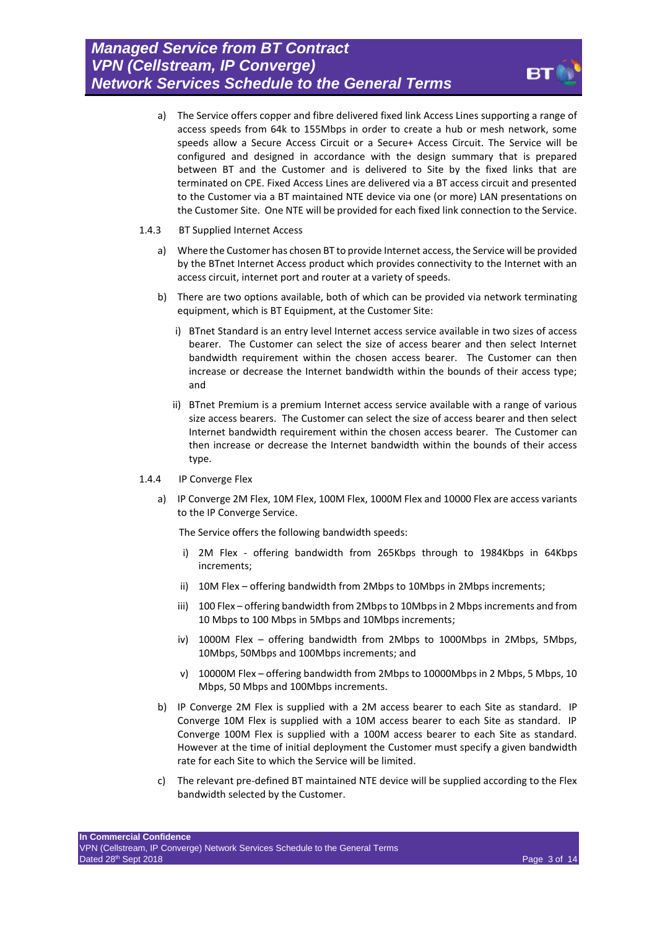- a) The Service offers copper and fibre delivered fixed link Access Lines supporting a range of access speeds from 64k to 155Mbps in order to create a hub or mesh network, some speeds allow a Secure Access Circuit or a Secure+ Access Circuit. The Service will be configured and designed in accordance with the design summary that is prepared between BT and the Customer and is delivered to Site by the fixed links that are terminated on CPE. Fixed Access Lines are delivered via a BT access circuit and presented to the Customer via a BT maintained NTE device via one (or more) LAN presentations on the Customer Site. One NTE will be provided for each fixed link connection to the Service.
- 1.4.3 BT Supplied Internet Access
	- a) Where the Customer has chosen BT to provide Internet access, the Service will be provided by the BTnet Internet Access product which provides connectivity to the Internet with an access circuit, internet port and router at a variety of speeds.
	- b) There are two options available, both of which can be provided via network terminating equipment, which is BT Equipment, at the Customer Site:
		- i) BTnet Standard is an entry level Internet access service available in two sizes of access bearer. The Customer can select the size of access bearer and then select Internet bandwidth requirement within the chosen access bearer. The Customer can then increase or decrease the Internet bandwidth within the bounds of their access type; and
		- ii) BTnet Premium is a premium Internet access service available with a range of various size access bearers. The Customer can select the size of access bearer and then select Internet bandwidth requirement within the chosen access bearer. The Customer can then increase or decrease the Internet bandwidth within the bounds of their access type.
- 1.4.4 IP Converge Flex
	- a) IP Converge 2M Flex, 10M Flex, 100M Flex, 1000M Flex and 10000 Flex are access variants to the IP Converge Service.

The Service offers the following bandwidth speeds:

- i) 2M Flex offering bandwidth from 265Kbps through to 1984Kbps in 64Kbps increments;
- ii) 10M Flex offering bandwidth from 2Mbps to 10Mbps in 2Mbps increments;
- iii) 100 Flex offering bandwidth from 2Mbps to 10Mbps in 2 Mbps increments and from 10 Mbps to 100 Mbps in 5Mbps and 10Mbps increments;
- iv) 1000M Flex offering bandwidth from 2Mbps to 1000Mbps in 2Mbps, 5Mbps, 10Mbps, 50Mbps and 100Mbps increments; and
- v) 10000M Flex offering bandwidth from 2Mbps to 10000Mbps in 2 Mbps, 5 Mbps, 10 Mbps, 50 Mbps and 100Mbps increments.
- b) IP Converge 2M Flex is supplied with a 2M access bearer to each Site as standard. IP Converge 10M Flex is supplied with a 10M access bearer to each Site as standard. IP Converge 100M Flex is supplied with a 100M access bearer to each Site as standard. However at the time of initial deployment the Customer must specify a given bandwidth rate for each Site to which the Service will be limited.
- c) The relevant pre-defined BT maintained NTE device will be supplied according to the Flex bandwidth selected by the Customer.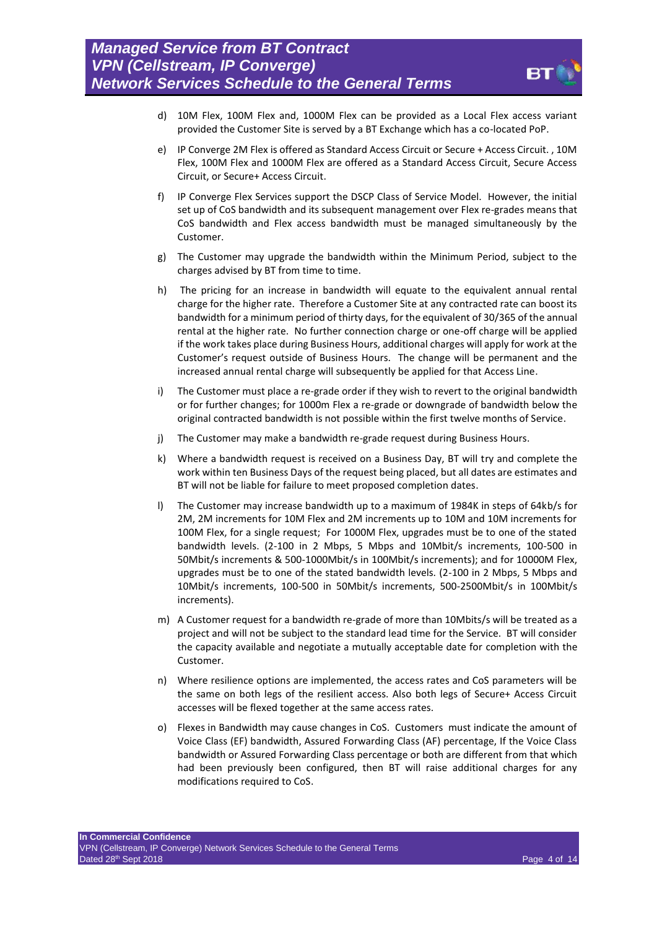

- d) 10M Flex, 100M Flex and, 1000M Flex can be provided as a Local Flex access variant provided the Customer Site is served by a BT Exchange which has a co-located PoP.
- e) IP Converge 2M Flex is offered as Standard Access Circuit or Secure + Access Circuit. , 10M Flex, 100M Flex and 1000M Flex are offered as a Standard Access Circuit, Secure Access Circuit, or Secure+ Access Circuit.
- f) IP Converge Flex Services support the DSCP Class of Service Model. However, the initial set up of CoS bandwidth and its subsequent management over Flex re-grades means that CoS bandwidth and Flex access bandwidth must be managed simultaneously by the Customer.
- g) The Customer may upgrade the bandwidth within the Minimum Period, subject to the charges advised by BT from time to time.
- h) The pricing for an increase in bandwidth will equate to the equivalent annual rental charge for the higher rate. Therefore a Customer Site at any contracted rate can boost its bandwidth for a minimum period of thirty days, for the equivalent of 30/365 of the annual rental at the higher rate. No further connection charge or one-off charge will be applied if the work takes place during Business Hours, additional charges will apply for work at the Customer's request outside of Business Hours. The change will be permanent and the increased annual rental charge will subsequently be applied for that Access Line.
- i) The Customer must place a re-grade order if they wish to revert to the original bandwidth or for further changes; for 1000m Flex a re-grade or downgrade of bandwidth below the original contracted bandwidth is not possible within the first twelve months of Service.
- j) The Customer may make a bandwidth re-grade request during Business Hours.
- k) Where a bandwidth request is received on a Business Day, BT will try and complete the work within ten Business Days of the request being placed, but all dates are estimates and BT will not be liable for failure to meet proposed completion dates.
- l) The Customer may increase bandwidth up to a maximum of 1984K in steps of 64kb/s for 2M, 2M increments for 10M Flex and 2M increments up to 10M and 10M increments for 100M Flex, for a single request; For 1000M Flex, upgrades must be to one of the stated bandwidth levels. (2-100 in 2 Mbps, 5 Mbps and 10Mbit/s increments, 100-500 in 50Mbit/s increments & 500-1000Mbit/s in 100Mbit/s increments); and for 10000M Flex, upgrades must be to one of the stated bandwidth levels. (2-100 in 2 Mbps, 5 Mbps and 10Mbit/s increments, 100-500 in 50Mbit/s increments, 500-2500Mbit/s in 100Mbit/s increments).
- m) A Customer request for a bandwidth re-grade of more than 10Mbits/s will be treated as a project and will not be subject to the standard lead time for the Service. BT will consider the capacity available and negotiate a mutually acceptable date for completion with the Customer.
- n) Where resilience options are implemented, the access rates and CoS parameters will be the same on both legs of the resilient access. Also both legs of Secure+ Access Circuit accesses will be flexed together at the same access rates.
- o) Flexes in Bandwidth may cause changes in CoS. Customers must indicate the amount of Voice Class (EF) bandwidth, Assured Forwarding Class (AF) percentage, If the Voice Class bandwidth or Assured Forwarding Class percentage or both are different from that which had been previously been configured, then BT will raise additional charges for any modifications required to CoS.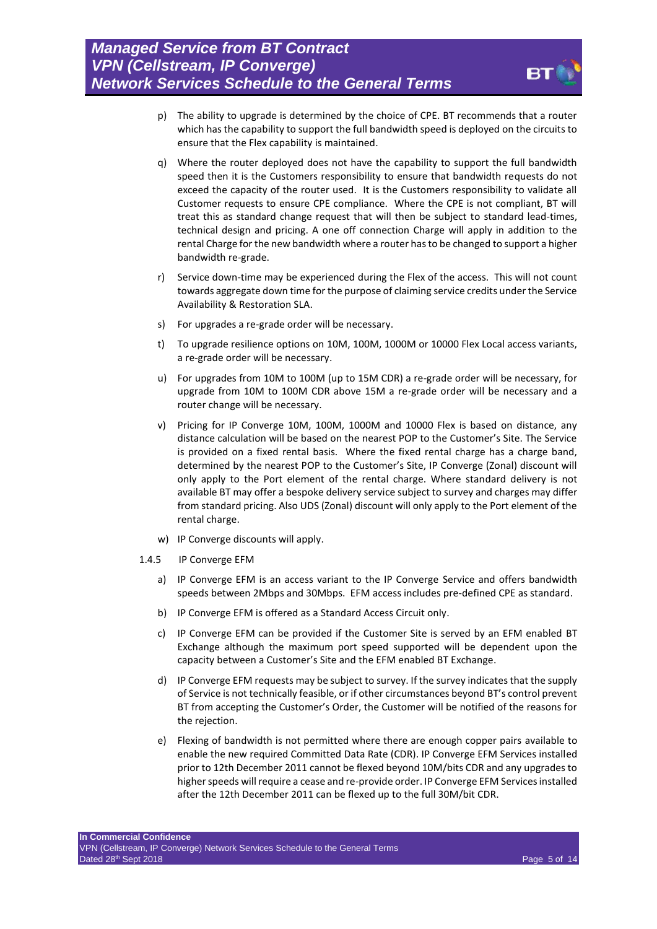

- p) The ability to upgrade is determined by the choice of CPE. BT recommends that a router which has the capability to support the full bandwidth speed is deployed on the circuits to ensure that the Flex capability is maintained.
- q) Where the router deployed does not have the capability to support the full bandwidth speed then it is the Customers responsibility to ensure that bandwidth requests do not exceed the capacity of the router used. It is the Customers responsibility to validate all Customer requests to ensure CPE compliance. Where the CPE is not compliant, BT will treat this as standard change request that will then be subject to standard lead-times, technical design and pricing. A one off connection Charge will apply in addition to the rental Charge for the new bandwidth where a router has to be changed to support a higher bandwidth re-grade.
- r) Service down-time may be experienced during the Flex of the access. This will not count towards aggregate down time for the purpose of claiming service credits under the Service Availability & Restoration SLA.
- s) For upgrades a re-grade order will be necessary.
- t) To upgrade resilience options on 10M, 100M, 1000M or 10000 Flex Local access variants, a re-grade order will be necessary.
- u) For upgrades from 10M to 100M (up to 15M CDR) a re-grade order will be necessary, for upgrade from 10M to 100M CDR above 15M a re-grade order will be necessary and a router change will be necessary.
- v) Pricing for IP Converge 10M, 100M, 1000M and 10000 Flex is based on distance, any distance calculation will be based on the nearest POP to the Customer's Site. The Service is provided on a fixed rental basis. Where the fixed rental charge has a charge band, determined by the nearest POP to the Customer's Site, IP Converge (Zonal) discount will only apply to the Port element of the rental charge. Where standard delivery is not available BT may offer a bespoke delivery service subject to survey and charges may differ from standard pricing. Also UDS (Zonal) discount will only apply to the Port element of the rental charge.
- w) IP Converge discounts will apply.
- 1.4.5 IP Converge EFM
	- a) IP Converge EFM is an access variant to the IP Converge Service and offers bandwidth speeds between 2Mbps and 30Mbps. EFM access includes pre-defined CPE as standard.
	- b) IP Converge EFM is offered as a Standard Access Circuit only.
	- c) IP Converge EFM can be provided if the Customer Site is served by an EFM enabled BT Exchange although the maximum port speed supported will be dependent upon the capacity between a Customer's Site and the EFM enabled BT Exchange.
	- d) IP Converge EFM requests may be subject to survey. If the survey indicates that the supply of Service is not technically feasible, or if other circumstances beyond BT's control prevent BT from accepting the Customer's Order, the Customer will be notified of the reasons for the rejection.
	- e) Flexing of bandwidth is not permitted where there are enough copper pairs available to enable the new required Committed Data Rate (CDR). IP Converge EFM Services installed prior to 12th December 2011 cannot be flexed beyond 10M/bits CDR and any upgrades to higher speeds will require a cease and re-provide order. IP Converge EFM Services installed after the 12th December 2011 can be flexed up to the full 30M/bit CDR.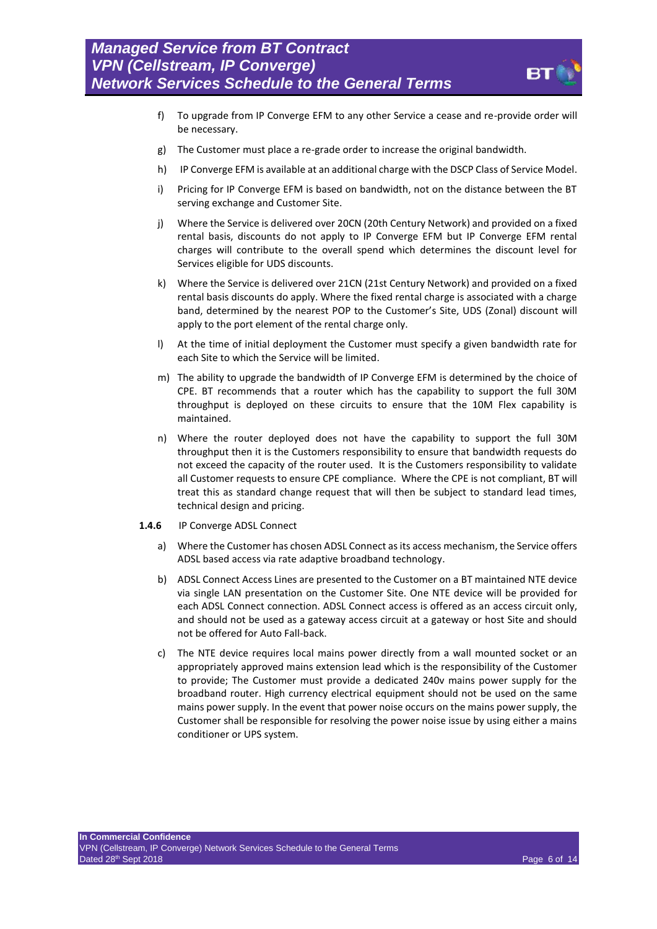

- f) To upgrade from IP Converge EFM to any other Service a cease and re-provide order will be necessary.
- g) The Customer must place a re-grade order to increase the original bandwidth.
- h) IP Converge EFM is available at an additional charge with the DSCP Class of Service Model.
- i) Pricing for IP Converge EFM is based on bandwidth, not on the distance between the BT serving exchange and Customer Site.
- j) Where the Service is delivered over 20CN (20th Century Network) and provided on a fixed rental basis, discounts do not apply to IP Converge EFM but IP Converge EFM rental charges will contribute to the overall spend which determines the discount level for Services eligible for UDS discounts.
- k) Where the Service is delivered over 21CN (21st Century Network) and provided on a fixed rental basis discounts do apply. Where the fixed rental charge is associated with a charge band, determined by the nearest POP to the Customer's Site, UDS (Zonal) discount will apply to the port element of the rental charge only.
- l) At the time of initial deployment the Customer must specify a given bandwidth rate for each Site to which the Service will be limited.
- m) The ability to upgrade the bandwidth of IP Converge EFM is determined by the choice of CPE. BT recommends that a router which has the capability to support the full 30M throughput is deployed on these circuits to ensure that the 10M Flex capability is maintained.
- n) Where the router deployed does not have the capability to support the full 30M throughput then it is the Customers responsibility to ensure that bandwidth requests do not exceed the capacity of the router used. It is the Customers responsibility to validate all Customer requests to ensure CPE compliance. Where the CPE is not compliant, BT will treat this as standard change request that will then be subject to standard lead times, technical design and pricing.
- **1.4.6** IP Converge ADSL Connect
	- a) Where the Customer has chosen ADSL Connect as its access mechanism, the Service offers ADSL based access via rate adaptive broadband technology.
	- b) ADSL Connect Access Lines are presented to the Customer on a BT maintained NTE device via single LAN presentation on the Customer Site. One NTE device will be provided for each ADSL Connect connection. ADSL Connect access is offered as an access circuit only, and should not be used as a gateway access circuit at a gateway or host Site and should not be offered for Auto Fall-back.
	- c) The NTE device requires local mains power directly from a wall mounted socket or an appropriately approved mains extension lead which is the responsibility of the Customer to provide; The Customer must provide a dedicated 240v mains power supply for the broadband router. High currency electrical equipment should not be used on the same mains power supply. In the event that power noise occurs on the mains power supply, the Customer shall be responsible for resolving the power noise issue by using either a mains conditioner or UPS system.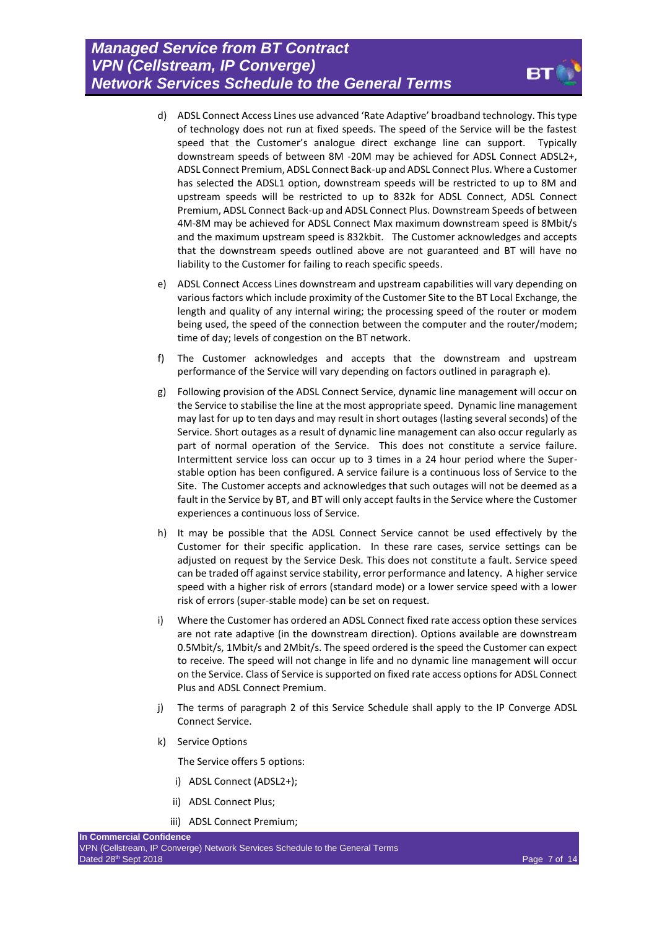- d) ADSL Connect Access Lines use advanced 'Rate Adaptive' broadband technology. This type of technology does not run at fixed speeds. The speed of the Service will be the fastest speed that the Customer's analogue direct exchange line can support. Typically downstream speeds of between 8M -20M may be achieved for ADSL Connect ADSL2+, ADSL Connect Premium, ADSL Connect Back-up and ADSL Connect Plus. Where a Customer has selected the ADSL1 option, downstream speeds will be restricted to up to 8M and upstream speeds will be restricted to up to 832k for ADSL Connect, ADSL Connect Premium, ADSL Connect Back-up and ADSL Connect Plus. Downstream Speeds of between 4M-8M may be achieved for ADSL Connect Max maximum downstream speed is 8Mbit/s and the maximum upstream speed is 832kbit. The Customer acknowledges and accepts that the downstream speeds outlined above are not guaranteed and BT will have no liability to the Customer for failing to reach specific speeds.
- <span id="page-6-0"></span>e) ADSL Connect Access Lines downstream and upstream capabilities will vary depending on various factors which include proximity of the Customer Site to the BT Local Exchange, the length and quality of any internal wiring; the processing speed of the router or modem being used, the speed of the connection between the computer and the router/modem; time of day; levels of congestion on the BT network.
- f) The Customer acknowledges and accepts that the downstream and upstream performance of the Service will vary depending on factors outlined in paragraph [e\).](#page-6-0)
- g) Following provision of the ADSL Connect Service, dynamic line management will occur on the Service to stabilise the line at the most appropriate speed. Dynamic line management may last for up to ten days and may result in short outages (lasting several seconds) of the Service. Short outages as a result of dynamic line management can also occur regularly as part of normal operation of the Service. This does not constitute a service failure. Intermittent service loss can occur up to 3 times in a 24 hour period where the Superstable option has been configured. A service failure is a continuous loss of Service to the Site. The Customer accepts and acknowledges that such outages will not be deemed as a fault in the Service by BT, and BT will only accept faults in the Service where the Customer experiences a continuous loss of Service.
- h) It may be possible that the ADSL Connect Service cannot be used effectively by the Customer for their specific application. In these rare cases, service settings can be adjusted on request by the Service Desk. This does not constitute a fault. Service speed can be traded off against service stability, error performance and latency. A higher service speed with a higher risk of errors (standard mode) or a lower service speed with a lower risk of errors (super-stable mode) can be set on request.
- i) Where the Customer has ordered an ADSL Connect fixed rate access option these services are not rate adaptive (in the downstream direction). Options available are downstream 0.5Mbit/s, 1Mbit/s and 2Mbit/s. The speed ordered is the speed the Customer can expect to receive. The speed will not change in life and no dynamic line management will occur on the Service. Class of Service is supported on fixed rate access options for ADSL Connect Plus and ADSL Connect Premium.
- j) The terms of paragraph 2 of this Service Schedule shall apply to the IP Converge ADSL Connect Service.
- k) Service Options

The Service offers 5 options:

- i) ADSL Connect (ADSL2+);
- ii) ADSL Connect Plus;
- iii) ADSL Connect Premium;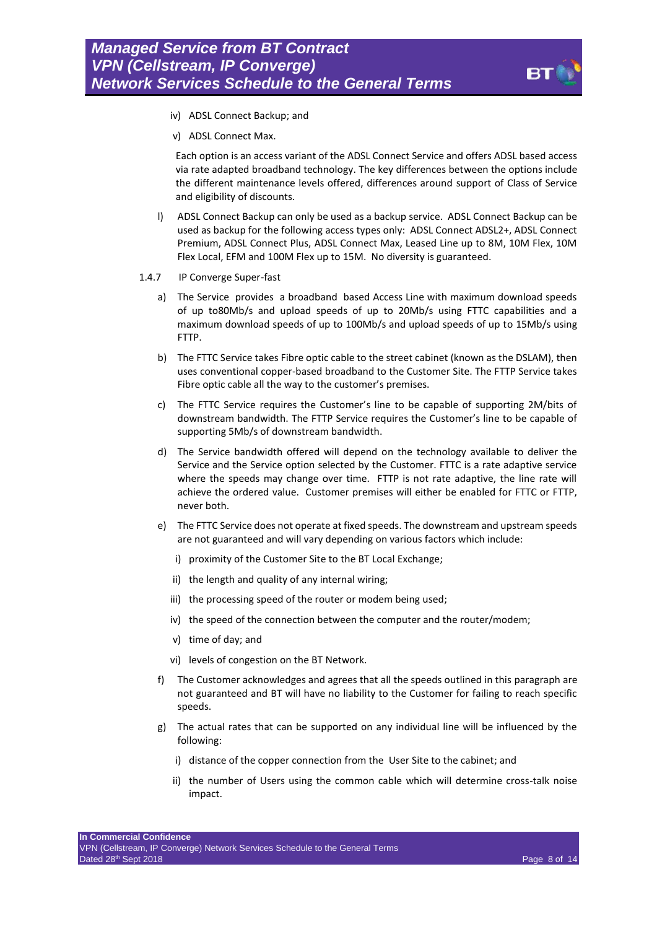

- iv) ADSL Connect Backup; and
- v) ADSL Connect Max.

Each option is an access variant of the ADSL Connect Service and offers ADSL based access via rate adapted broadband technology. The key differences between the options include the different maintenance levels offered, differences around support of Class of Service and eligibility of discounts.

- l) ADSL Connect Backup can only be used as a backup service. ADSL Connect Backup can be used as backup for the following access types only: ADSL Connect ADSL2+, ADSL Connect Premium, ADSL Connect Plus, ADSL Connect Max, Leased Line up to 8M, 10M Flex, 10M Flex Local, EFM and 100M Flex up to 15M. No diversity is guaranteed.
- 1.4.7 IP Converge Super-fast
	- a) The Service provides a broadband based Access Line with maximum download speeds of up to80Mb/s and upload speeds of up to 20Mb/s using FTTC capabilities and a maximum download speeds of up to 100Mb/s and upload speeds of up to 15Mb/s using FTTP.
	- b) The FTTC Service takes Fibre optic cable to the street cabinet (known as the DSLAM), then uses conventional copper-based broadband to the Customer Site. The FTTP Service takes Fibre optic cable all the way to the customer's premises.
	- c) The FTTC Service requires the Customer's line to be capable of supporting 2M/bits of downstream bandwidth. The FTTP Service requires the Customer's line to be capable of supporting 5Mb/s of downstream bandwidth.
	- d) The Service bandwidth offered will depend on the technology available to deliver the Service and the Service option selected by the Customer. FTTC is a rate adaptive service where the speeds may change over time. FTTP is not rate adaptive, the line rate will achieve the ordered value. Customer premises will either be enabled for FTTC or FTTP, never both.
	- e) The FTTC Service does not operate at fixed speeds. The downstream and upstream speeds are not guaranteed and will vary depending on various factors which include:
		- i) proximity of the Customer Site to the BT Local Exchange;
		- ii) the length and quality of any internal wiring;
		- iii) the processing speed of the router or modem being used;
		- iv) the speed of the connection between the computer and the router/modem;
		- v) time of day; and
		- vi) levels of congestion on the BT Network.
	- f) The Customer acknowledges and agrees that all the speeds outlined in this paragraph are not guaranteed and BT will have no liability to the Customer for failing to reach specific speeds.
	- g) The actual rates that can be supported on any individual line will be influenced by the following:
		- i) distance of the copper connection from the User Site to the cabinet; and
		- ii) the number of Users using the common cable which will determine cross-talk noise impact.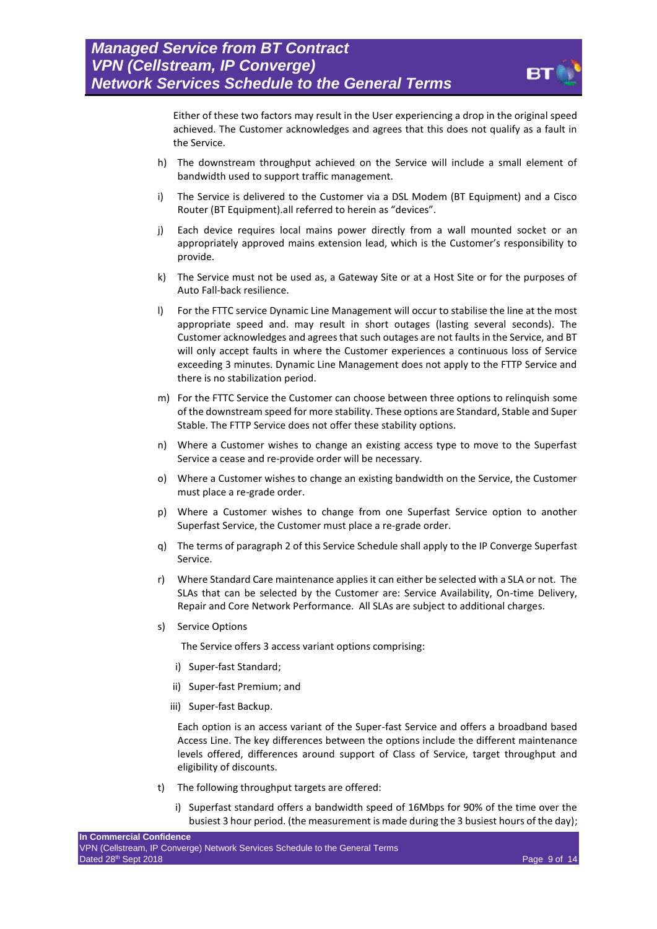

Either of these two factors may result in the User experiencing a drop in the original speed achieved. The Customer acknowledges and agrees that this does not qualify as a fault in the Service.

- h) The downstream throughput achieved on the Service will include a small element of bandwidth used to support traffic management.
- i) The Service is delivered to the Customer via a DSL Modem (BT Equipment) and a Cisco Router (BT Equipment).all referred to herein as "devices".
- j) Each device requires local mains power directly from a wall mounted socket or an appropriately approved mains extension lead, which is the Customer's responsibility to provide.
- k) The Service must not be used as, a Gateway Site or at a Host Site or for the purposes of Auto Fall-back resilience.
- l) For the FTTC service Dynamic Line Management will occur to stabilise the line at the most appropriate speed and. may result in short outages (lasting several seconds). The Customer acknowledges and agrees that such outages are not faults in the Service, and BT will only accept faults in where the Customer experiences a continuous loss of Service exceeding 3 minutes. Dynamic Line Management does not apply to the FTTP Service and there is no stabilization period.
- m) For the FTTC Service the Customer can choose between three options to relinquish some of the downstream speed for more stability. These options are Standard, Stable and Super Stable. The FTTP Service does not offer these stability options.
- n) Where a Customer wishes to change an existing access type to move to the Superfast Service a cease and re-provide order will be necessary.
- o) Where a Customer wishes to change an existing bandwidth on the Service, the Customer must place a re-grade order.
- p) Where a Customer wishes to change from one Superfast Service option to another Superfast Service, the Customer must place a re-grade order.
- q) The terms of paragraph [2](#page-9-0) of this Service Schedule shall apply to the IP Converge Superfast Service.
- r) Where Standard Care maintenance applies it can either be selected with a SLA or not. The SLAs that can be selected by the Customer are: Service Availability, On-time Delivery, Repair and Core Network Performance. All SLAs are subject to additional charges.
- s) Service Options

The Service offers 3 access variant options comprising:

- i) Super-fast Standard;
- ii) Super-fast Premium; and
- iii) Super-fast Backup.

Each option is an access variant of the Super-fast Service and offers a broadband based Access Line. The key differences between the options include the different maintenance levels offered, differences around support of Class of Service, target throughput and eligibility of discounts.

- t) The following throughput targets are offered:
	- i) Superfast standard offers a bandwidth speed of 16Mbps for 90% of the time over the busiest 3 hour period. (the measurement is made during the 3 busiest hours of the day);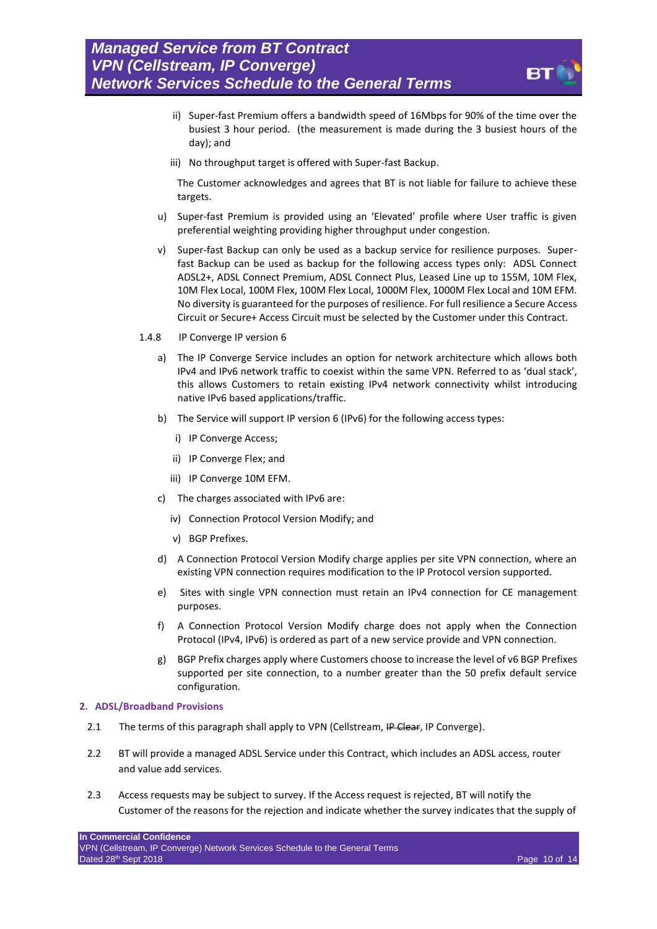

- ii) Super-fast Premium offers a bandwidth speed of 16Mbps for 90% of the time over the busiest 3 hour period. (the measurement is made during the 3 busiest hours of the day); and
- iii) No throughput target is offered with Super-fast Backup.

The Customer acknowledges and agrees that BT is not liable for failure to achieve these targets.

- u) Super-fast Premium is provided using an 'Elevated' profile where User traffic is given preferential weighting providing higher throughput under congestion.
- v) Super-fast Backup can only be used as a backup service for resilience purposes. Superfast Backup can be used as backup for the following access types only: ADSL Connect ADSL2+, ADSL Connect Premium, ADSL Connect Plus, Leased Line up to 155M, 10M Flex, 10M Flex Local, 100M Flex, 100M Flex Local, 1000M Flex, 1000M Flex Local and 10M EFM. No diversity is guaranteed for the purposes of resilience. For full resilience a Secure Access Circuit or Secure+ Access Circuit must be selected by the Customer under this Contract.
- 1.4.8 IP Converge IP version 6
	- a) The IP Converge Service includes an option for network architecture which allows both IPv4 and IPv6 network traffic to coexist within the same VPN. Referred to as 'dual stack', this allows Customers to retain existing IPv4 network connectivity whilst introducing native IPv6 based applications/traffic.
	- b) The Service will support IP version 6 (IPv6) for the following access types:
		- i) IP Converge Access;
		- ii) IP Converge Flex; and
		- iii) IP Converge 10M EFM.
	- c) The charges associated with IPv6 are:
		- iv) Connection Protocol Version Modify; and
		- v) BGP Prefixes.
	- d) A Connection Protocol Version Modify charge applies per site VPN connection, where an existing VPN connection requires modification to the IP Protocol version supported.
	- e) Sites with single VPN connection must retain an IPv4 connection for CE management purposes.
	- f) A Connection Protocol Version Modify charge does not apply when the Connection Protocol (IPv4, IPv6) is ordered as part of a new service provide and VPN connection.
	- g) BGP Prefix charges apply where Customers choose to increase the level of v6 BGP Prefixes supported per site connection, to a number greater than the 50 prefix default service configuration.

#### <span id="page-9-0"></span>**2. ADSL/Broadband Provisions**

- 2.1 The terms of this paragraph shall apply to VPN (Cellstream, IP Clear, IP Converge).
- 2.2 BT will provide a managed ADSL Service under this Contract, which includes an ADSL access, router and value add services.
- 2.3 Access requests may be subject to survey. If the Access request is rejected, BT will notify the Customer of the reasons for the rejection and indicate whether the survey indicates that the supply of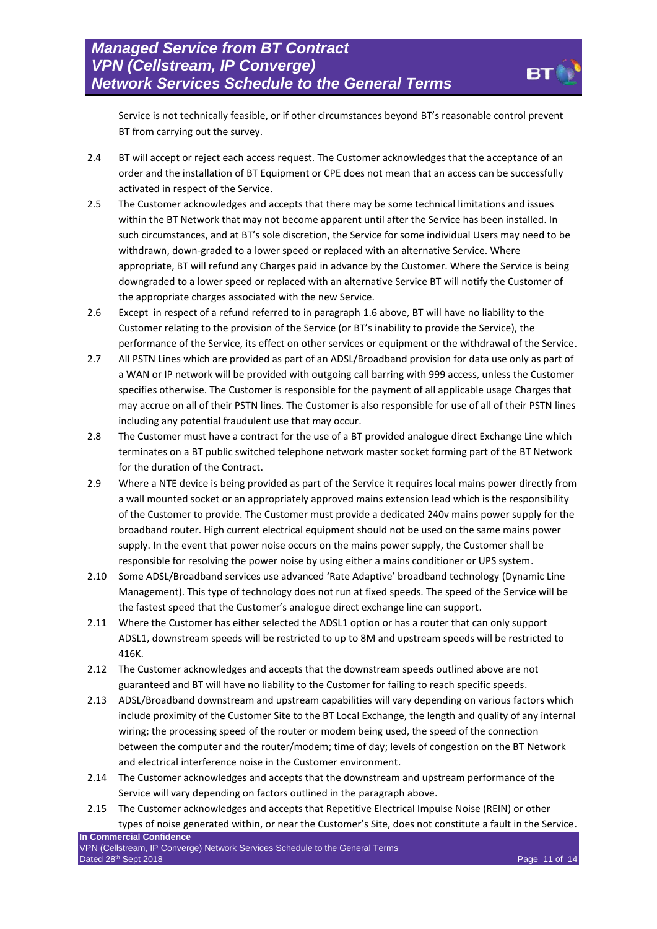Service is not technically feasible, or if other circumstances beyond BT's reasonable control prevent BT from carrying out the survey.

- 2.4 BT will accept or reject each access request. The Customer acknowledges that the acceptance of an order and the installation of BT Equipment or CPE does not mean that an access can be successfully activated in respect of the Service.
- 2.5 The Customer acknowledges and accepts that there may be some technical limitations and issues within the BT Network that may not become apparent until after the Service has been installed. In such circumstances, and at BT's sole discretion, the Service for some individual Users may need to be withdrawn, down-graded to a lower speed or replaced with an alternative Service. Where appropriate, BT will refund any Charges paid in advance by the Customer. Where the Service is being downgraded to a lower speed or replaced with an alternative Service BT will notify the Customer of the appropriate charges associated with the new Service.
- 2.6 Except in respect of a refund referred to in paragraph 1.6 above, BT will have no liability to the Customer relating to the provision of the Service (or BT's inability to provide the Service), the performance of the Service, its effect on other services or equipment or the withdrawal of the Service.
- 2.7 All PSTN Lines which are provided as part of an ADSL/Broadband provision for data use only as part of a WAN or IP network will be provided with outgoing call barring with 999 access, unless the Customer specifies otherwise. The Customer is responsible for the payment of all applicable usage Charges that may accrue on all of their PSTN lines. The Customer is also responsible for use of all of their PSTN lines including any potential fraudulent use that may occur.
- 2.8 The Customer must have a contract for the use of a BT provided analogue direct Exchange Line which terminates on a BT public switched telephone network master socket forming part of the BT Network for the duration of the Contract.
- 2.9 Where a NTE device is being provided as part of the Service it requires local mains power directly from a wall mounted socket or an appropriately approved mains extension lead which is the responsibility of the Customer to provide. The Customer must provide a dedicated 240v mains power supply for the broadband router. High current electrical equipment should not be used on the same mains power supply. In the event that power noise occurs on the mains power supply, the Customer shall be responsible for resolving the power noise by using either a mains conditioner or UPS system.
- 2.10 Some ADSL/Broadband services use advanced 'Rate Adaptive' broadband technology (Dynamic Line Management). This type of technology does not run at fixed speeds. The speed of the Service will be the fastest speed that the Customer's analogue direct exchange line can support.
- 2.11 Where the Customer has either selected the ADSL1 option or has a router that can only support ADSL1, downstream speeds will be restricted to up to 8M and upstream speeds will be restricted to 416K.
- 2.12 The Customer acknowledges and accepts that the downstream speeds outlined above are not guaranteed and BT will have no liability to the Customer for failing to reach specific speeds.
- 2.13 ADSL/Broadband downstream and upstream capabilities will vary depending on various factors which include proximity of the Customer Site to the BT Local Exchange, the length and quality of any internal wiring; the processing speed of the router or modem being used, the speed of the connection between the computer and the router/modem; time of day; levels of congestion on the BT Network and electrical interference noise in the Customer environment.
- 2.14 The Customer acknowledges and accepts that the downstream and upstream performance of the Service will vary depending on factors outlined in the paragraph above.
- 2.15 The Customer acknowledges and accepts that Repetitive Electrical Impulse Noise (REIN) or other types of noise generated within, or near the Customer's Site, does not constitute a fault in the Service.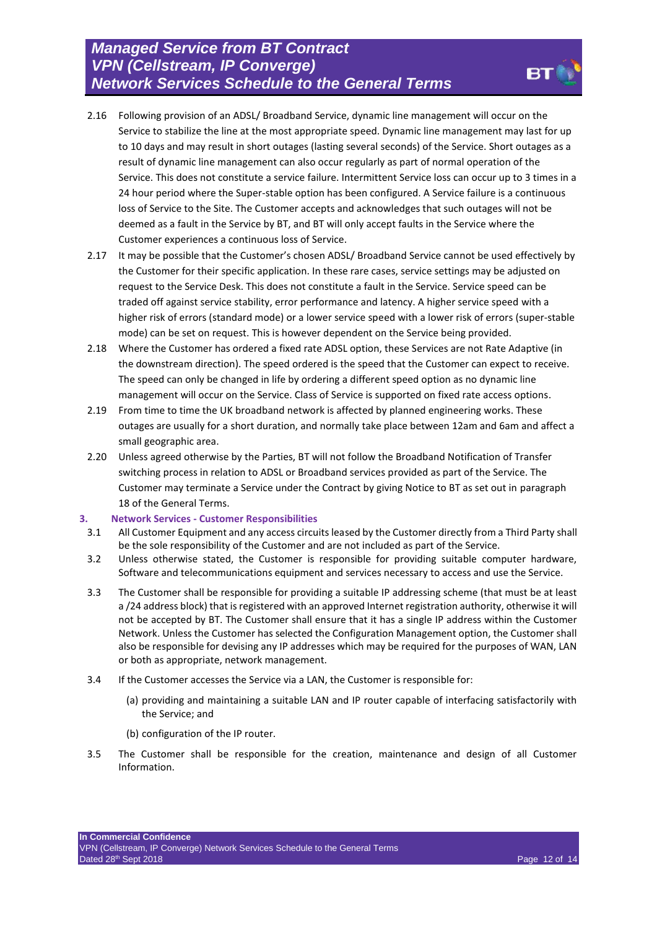- 2.16 Following provision of an ADSL/ Broadband Service, dynamic line management will occur on the Service to stabilize the line at the most appropriate speed. Dynamic line management may last for up to 10 days and may result in short outages (lasting several seconds) of the Service. Short outages as a result of dynamic line management can also occur regularly as part of normal operation of the Service. This does not constitute a service failure. Intermittent Service loss can occur up to 3 times in a 24 hour period where the Super-stable option has been configured. A Service failure is a continuous loss of Service to the Site. The Customer accepts and acknowledges that such outages will not be deemed as a fault in the Service by BT, and BT will only accept faults in the Service where the Customer experiences a continuous loss of Service.
- 2.17 It may be possible that the Customer's chosen ADSL/ Broadband Service cannot be used effectively by the Customer for their specific application. In these rare cases, service settings may be adjusted on request to the Service Desk. This does not constitute a fault in the Service. Service speed can be traded off against service stability, error performance and latency. A higher service speed with a higher risk of errors (standard mode) or a lower service speed with a lower risk of errors (super-stable mode) can be set on request. This is however dependent on the Service being provided.
- 2.18 Where the Customer has ordered a fixed rate ADSL option, these Services are not Rate Adaptive (in the downstream direction). The speed ordered is the speed that the Customer can expect to receive. The speed can only be changed in life by ordering a different speed option as no dynamic line management will occur on the Service. Class of Service is supported on fixed rate access options.
- 2.19 From time to time the UK broadband network is affected by planned engineering works. These outages are usually for a short duration, and normally take place between 12am and 6am and affect a small geographic area.
- 2.20 Unless agreed otherwise by the Parties, BT will not follow the Broadband Notification of Transfer switching process in relation to ADSL or Broadband services provided as part of the Service. The Customer may terminate a Service under the Contract by giving Notice to BT as set out in paragraph 18 of the General Terms.

#### **3. Network Services - Customer Responsibilities**

- 3.1 All Customer Equipment and any access circuits leased by the Customer directly from a Third Party shall be the sole responsibility of the Customer and are not included as part of the Service.
- 3.2 Unless otherwise stated, the Customer is responsible for providing suitable computer hardware, Software and telecommunications equipment and services necessary to access and use the Service.
- 3.3 The Customer shall be responsible for providing a suitable IP addressing scheme (that must be at least a /24 address block) that is registered with an approved Internet registration authority, otherwise it will not be accepted by BT. The Customer shall ensure that it has a single IP address within the Customer Network. Unless the Customer has selected the Configuration Management option, the Customer shall also be responsible for devising any IP addresses which may be required for the purposes of WAN, LAN or both as appropriate, network management.
- 3.4 If the Customer accesses the Service via a LAN, the Customer is responsible for:
	- (a) providing and maintaining a suitable LAN and IP router capable of interfacing satisfactorily with the Service; and
	- (b) configuration of the IP router.
- 3.5 The Customer shall be responsible for the creation, maintenance and design of all Customer Information.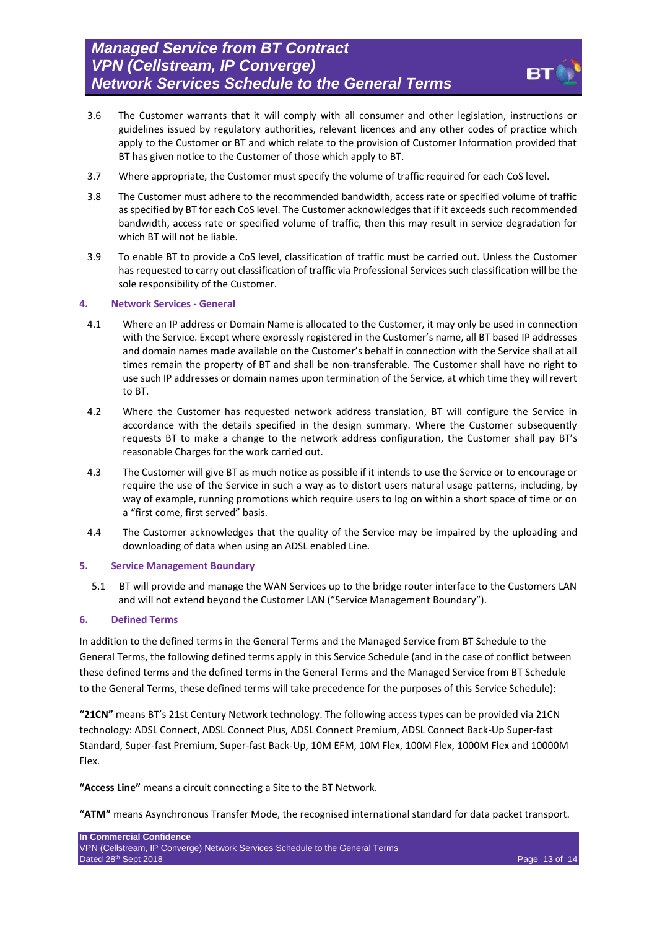

- 3.6 The Customer warrants that it will comply with all consumer and other legislation, instructions or guidelines issued by regulatory authorities, relevant licences and any other codes of practice which apply to the Customer or BT and which relate to the provision of Customer Information provided that BT has given notice to the Customer of those which apply to BT.
- 3.7 Where appropriate, the Customer must specify the volume of traffic required for each CoS level.
- 3.8 The Customer must adhere to the recommended bandwidth, access rate or specified volume of traffic as specified by BT for each CoS level. The Customer acknowledges that if it exceeds such recommended bandwidth, access rate or specified volume of traffic, then this may result in service degradation for which BT will not be liable.
- 3.9 To enable BT to provide a CoS level, classification of traffic must be carried out. Unless the Customer has requested to carry out classification of traffic via Professional Services such classification will be the sole responsibility of the Customer.

#### **4. Network Services - General**

- 4.1 Where an IP address or Domain Name is allocated to the Customer, it may only be used in connection with the Service. Except where expressly registered in the Customer's name, all BT based IP addresses and domain names made available on the Customer's behalf in connection with the Service shall at all times remain the property of BT and shall be non-transferable. The Customer shall have no right to use such IP addresses or domain names upon termination of the Service, at which time they will revert to BT.
- 4.2 Where the Customer has requested network address translation, BT will configure the Service in accordance with the details specified in the design summary. Where the Customer subsequently requests BT to make a change to the network address configuration, the Customer shall pay BT's reasonable Charges for the work carried out.
- 4.3 The Customer will give BT as much notice as possible if it intends to use the Service or to encourage or require the use of the Service in such a way as to distort users natural usage patterns, including, by way of example, running promotions which require users to log on within a short space of time or on a "first come, first served" basis.
- 4.4 The Customer acknowledges that the quality of the Service may be impaired by the uploading and downloading of data when using an ADSL enabled Line.

#### **5. Service Management Boundary**

5.1 BT will provide and manage the WAN Services up to the bridge router interface to the Customers LAN and will not extend beyond the Customer LAN ("Service Management Boundary").

#### **6. Defined Terms**

In addition to the defined terms in the General Terms and the Managed Service from BT Schedule to the General Terms, the following defined terms apply in this Service Schedule (and in the case of conflict between these defined terms and the defined terms in the General Terms and the Managed Service from BT Schedule to the General Terms, these defined terms will take precedence for the purposes of this Service Schedule):

**"21CN"** means BT's 21st Century Network technology. The following access types can be provided via 21CN technology: ADSL Connect, ADSL Connect Plus, ADSL Connect Premium, ADSL Connect Back-Up Super-fast Standard, Super-fast Premium, Super-fast Back-Up, 10M EFM, 10M Flex, 100M Flex, 1000M Flex and 10000M Flex.

**"Access Line"** means a circuit connecting a Site to the BT Network.

**"ATM"** means Asynchronous Transfer Mode, the recognised international standard for data packet transport.